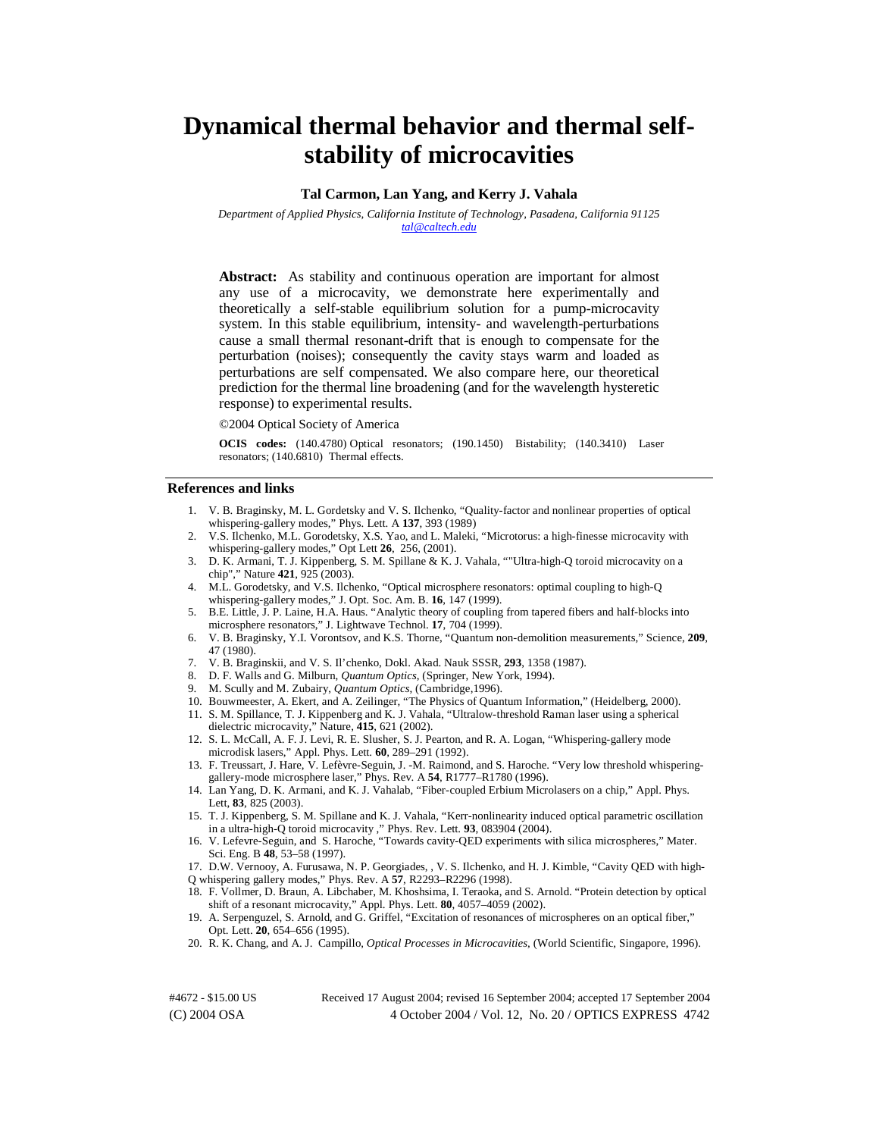# **Dynamical thermal behavior and thermal selfstability of microcavities**

## **Tal Carmon, Lan Yang, and Kerry J. Vahala**

*Department of Applied Physics, California Institute of Technology, Pasadena, California 91125 [tal@caltech.edu](mailto:tal@caltech.edu)*

**Abstract:** As stability and continuous operation are important for almost any use of a microcavity, we demonstrate here experimentally and theoretically a self-stable equilibrium solution for a pump-microcavity system. In this stable equilibrium, intensity- and wavelength-perturbations cause a small thermal resonant-drift that is enough to compensate for the perturbation (noises); consequently the cavity stays warm and loaded as perturbations are self compensated. We also compare here, our theoretical prediction for the thermal line broadening (and for the wavelength hysteretic response) to experimental results.

#### ©2004 Optical Society of America

**OCIS codes:** (140.4780) Optical resonators; (190.1450) Bistability; (140.3410) Laser resonators; (140.6810) Thermal effects.

#### **References and links**

- 1. V. B. Braginsky, M. L. Gordetsky and V. S. Ilchenko, "Quality-factor and nonlinear properties of optical whispering-gallery modes," Phys. Lett. A **137**, 393 (1989)
- 2. V.S. Ilchenko, M.L. Gorodetsky, X.S. Yao, and L. Maleki, "Microtorus: a high-finesse microcavity with whispering-gallery modes," Opt Lett **26**, 256, (2001).
- 3. D. K. Armani, T. J. Kippenberg, S. M. Spillane & K. J. Vahala, ""Ultra-high-Q toroid microcavity on a chip"," Nature **421**, 925 (2003).
- 4. M.L. Gorodetsky, and V.S. Ilchenko, "Optical microsphere resonators: optimal coupling to high-Q whispering-gallery modes," J. Opt. Soc. Am. B. **16**, 147 (1999).
- 5. B.E. Little, J. P. Laine, H.A. Haus. "Analytic theory of coupling from tapered fibers and half-blocks into microsphere resonators," J. Lightwave Technol. **17**, 704 (1999).
- 6. V. B. Braginsky, Y.I. Vorontsov, and K.S. Thorne, "Quantum non-demolition measurements," Science, **209**, 47 (1980).
- 7. V. B. Braginskii, and V. S. Il'chenko, Dokl. Akad. Nauk SSSR, **293**, 1358 (1987).
- 8. D. F. Walls and G. Milburn, *Quantum Optics*, (Springer, New York, 1994).
- 9. M. Scully and M. Zubairy, *Quantum Optics*, (Cambridge,1996).
- 10. Bouwmeester, A. Ekert, and A. Zeilinger, "The Physics of Quantum Information," (Heidelberg, 2000).
- 11. S. M. Spillance, T. J. Kippenberg and K. J. Vahala, "Ultralow-threshold Raman laser using a spherical dielectric microcavity," Nature, **415**, 621 (2002).
- 12. S. L. McCall, A. F. J. Levi, R. E. Slusher, S. J. Pearton, and R. A. Logan, "Whispering-gallery mode microdisk lasers," Appl. Phys. Lett. **60**, 289–291 (1992).
- 13. F. Treussart, J. Hare, V. Lefèvre-Seguin, J. -M. Raimond, and S. Haroche. "Very low threshold whisperinggallery-mode microsphere laser," Phys. Rev. A **54**, R1777–R1780 (1996).
- 14. Lan Yang, D. K. Armani, and K. J. Vahalab, "Fiber-coupled Erbium Microlasers on a chip," Appl. Phys. Lett, **83**, 825 (2003).
- 15. T. J. Kippenberg, S. M. Spillane and K. J. Vahala, "Kerr-nonlinearity induced optical parametric oscillation in a ultra-high-Q toroid microcavity ," Phys. Rev. Lett. **93**, 083904 (2004).
- 16. V. Lefevre-Seguin, and S. Haroche, "Towards cavity-QED experiments with silica microspheres," Mater. Sci. Eng. B **48**, 53–58 (1997).
- 17. D.W. Vernooy, A. Furusawa, N. P. Georgiades, , V. S. Ilchenko, and H. J. Kimble, "Cavity QED with high-
- Q whispering gallery modes," Phys. Rev. A **57**, R2293–R2296 (1998).
- 18. F. Vollmer, D. Braun, A. Libchaber, M. Khoshsima, I. Teraoka, and S. Arnold. "Protein detection by optical shift of a resonant microcavity," Appl. Phys. Lett. **80**, 4057–4059 (2002).
- 19. A. Serpenguzel, S. Arnold, and G. Griffel, "Excitation of resonances of microspheres on an optical fiber," Opt. Lett. **20**, 654–656 (1995).
- 20. R. K. Chang, and A. J. Campillo, *Optical Processes in Microcavities*, (World Scientific, Singapore, 1996).

(C) 2004 OSA 4 October 2004 / Vol. 12, No. 20 / OPTICS EXPRESS 4742 #4672 - \$15.00 US Received 17 August 2004; revised 16 September 2004; accepted 17 September 2004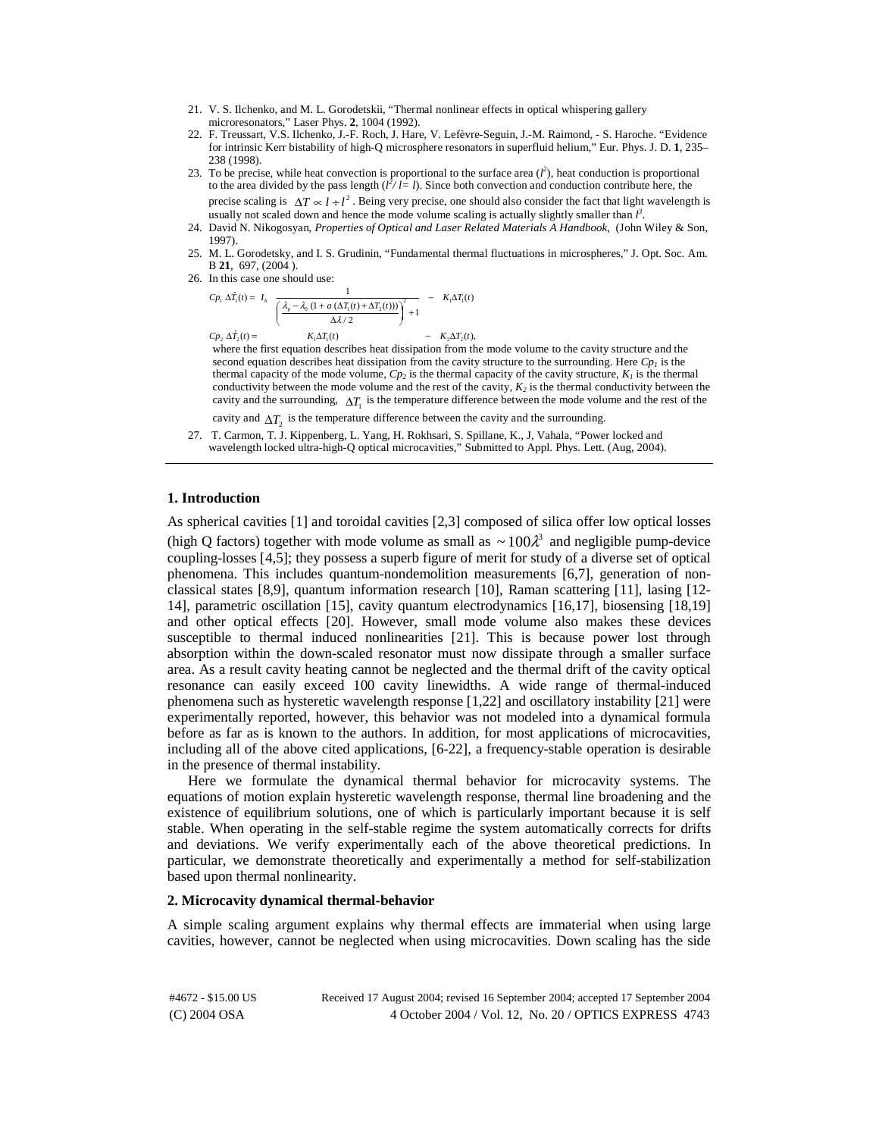- 21. V. S. Ilchenko, and M. L. Gorodetskii, "Thermal nonlinear effects in optical whispering gallery microresonators," Laser Phys. **2**, 1004 (1992).
- 22. F. Treussart, V.S. Ilchenko, J.-F. Roch, J. Hare, V. Lefèvre-Seguin, J.-M. Raimond, S. Haroche. "Evidence for intrinsic Kerr bistability of high-Q microsphere resonators in superfluid helium," Eur. Phys. J. D. **1**, 235– 238 (1998).
- 23. To be precise, while heat convection is proportional to the surface area  $(l^2)$ , heat conduction is proportional to the area divided by the pass length  $\left(\frac{l^2}{l-l}\right)$ . Since both convection and conduction contribute here, the precise scaling is  $\Delta T \propto l + l^2$ . Being very precise, one should also consider the fact that light wavelength is usually not scaled down and hence the mode volume scaling is actually slightly smaller than  $l<sup>3</sup>$ .
- 24. David N. Nikogosyan, *Properties of Optical and Laser Related Materials A Handbook*, (John Wiley & Son, 1997).
- 25. M. L. Gorodetsky, and I. S. Grudinin, "Fundamental thermal fluctuations in microspheres," J. Opt. Soc. Am. B **21**, 697, (2004 ).
- 26. In this case one should use:

$$
C_{P_1} \Delta T_1(t) = I_h \frac{1}{\left(\frac{\lambda_p - \lambda_0 (1 + a(\Delta T_1(t) + \Delta T_2(t))))}{\Delta \lambda / 2}\right)^2 + 1} - K_1 \Delta T_1(t)
$$

$$
C_{P_2} \Delta T_2(t) = K_1 \Delta T_1(t) - K_2 \Delta T_2(t),
$$

 $X_1 \Delta T_2(t) =$   $K_1 \Delta T_1(t)$   $-K_2 \Delta T_2(t)$ , י<br>זון די נ where the first equation describes heat dissipation from the mode volume to the cavity structure and the second equation describes heat dissipation from the cavity structure to the surrounding. Here  $C_{PI}$  is the thermal capacity of the mode volume,  $Cp_2$  is the thermal capacity of the cavity structure,  $K_l$  is the thermal conductivity between the mode volume and the rest of the cavity,  $K_2$  is the thermal conductivity between the cavity and the surrounding,  $\Delta T_1$  is the temperature difference between the mode volume and the rest of the

cavity and  $\Delta T$ <sub>2</sub> is the temperature difference between the cavity and the surrounding.

27. T. Carmon, T. J. Kippenberg, L. Yang, H. Rokhsari, S. Spillane, K., J, Vahala, "Power locked and wavelength locked ultra-high-Q optical microcavities," Submitted to Appl. Phys. Lett. (Aug, 2004).

#### **1. Introduction**

As spherical cavities [1] and toroidal cavities [2,3] composed of silica offer low optical losses (high Q factors) together with mode volume as small as  $\sim 100\lambda^3$  and negligible pump-device coupling-losses [4,5]; they possess a superb figure of merit for study of a diverse set of optical phenomena. This includes quantum-nondemolition measurements [6,7], generation of nonclassical states [8,9], quantum information research [10], Raman scattering [11], lasing [12- 14], parametric oscillation [15], cavity quantum electrodynamics [16,17], biosensing [18,19] and other optical effects [20]. However, small mode volume also makes these devices susceptible to thermal induced nonlinearities [21]. This is because power lost through absorption within the down-scaled resonator must now dissipate through a smaller surface area. As a result cavity heating cannot be neglected and the thermal drift of the cavity optical resonance can easily exceed 100 cavity linewidths. A wide range of thermal-induced phenomena such as hysteretic wavelength response [1,22] and oscillatory instability [21] were experimentally reported, however, this behavior was not modeled into a dynamical formula before as far as is known to the authors. In addition, for most applications of microcavities, including all of the above cited applications, [6-22], a frequency-stable operation is desirable in the presence of thermal instability.

Here we formulate the dynamical thermal behavior for microcavity systems. The equations of motion explain hysteretic wavelength response, thermal line broadening and the existence of equilibrium solutions, one of which is particularly important because it is self stable. When operating in the self-stable regime the system automatically corrects for drifts and deviations. We verify experimentally each of the above theoretical predictions. In particular, we demonstrate theoretically and experimentally a method for self-stabilization based upon thermal nonlinearity.

#### **2. Microcavity dynamical thermal-behavior**

A simple scaling argument explains why thermal effects are immaterial when using large cavities, however, cannot be neglected when using microcavities. Down scaling has the side

(C) 2004 OSA 4 October 2004 / Vol. 12, No. 20 / OPTICS EXPRESS 4743 #4672 - \$15.00 US Received 17 August 2004; revised 16 September 2004; accepted 17 September 2004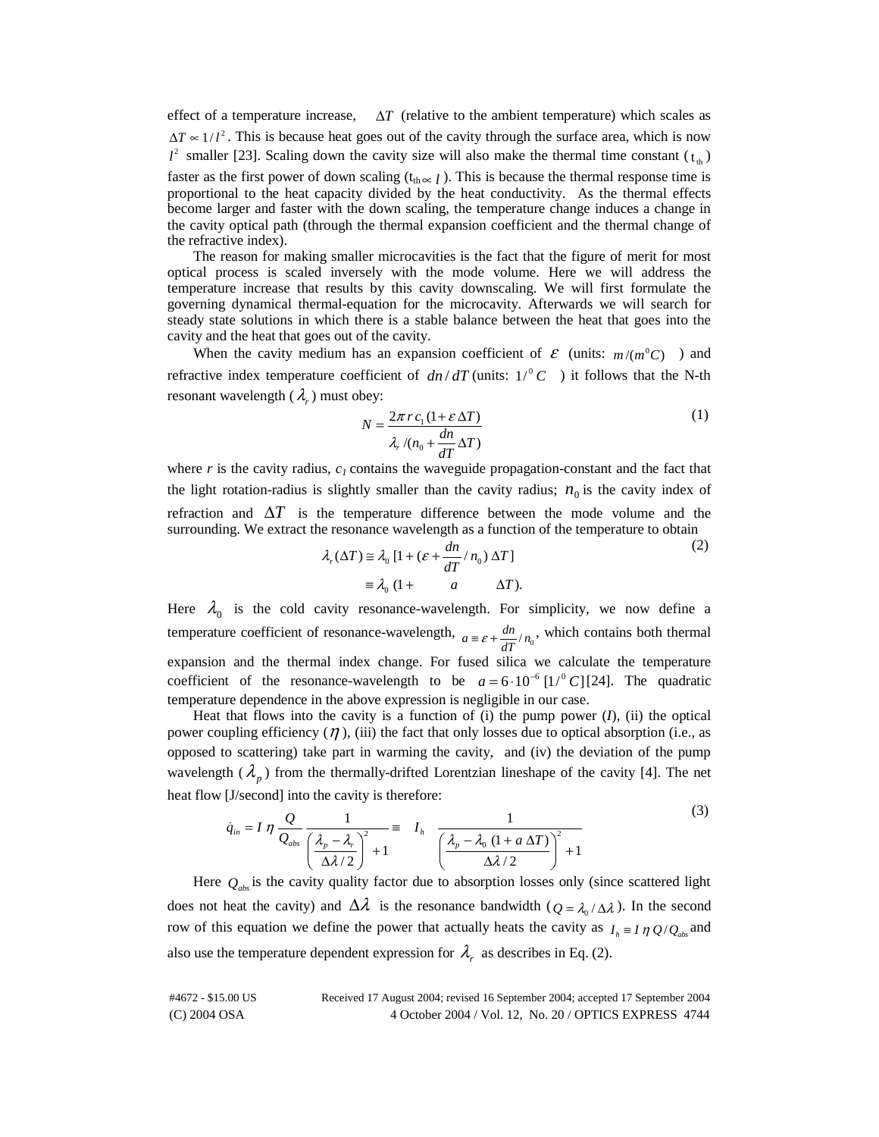effect of a temperature increase, ∆*T* (relative to the ambient temperature) which scales as  $\Delta T \propto 1/l^2$ . This is because heat goes out of the cavity through the surface area, which is now  $l^2$  smaller [23]. Scaling down the cavity size will also make the thermal time constant ( $t_{th}$ ) faster as the first power of down scaling ( $t_{th} \propto l$ ). This is because the thermal response time is proportional to the heat capacity divided by the heat conductivity. As the thermal effects become larger and faster with the down scaling, the temperature change induces a change in the cavity optical path (through the thermal expansion coefficient and the thermal change of the refractive index).

The reason for making smaller microcavities is the fact that the figure of merit for most optical process is scaled inversely with the mode volume. Here we will address the temperature increase that results by this cavity downscaling. We will first formulate the governing dynamical thermal-equation for the microcavity. Afterwards we will search for steady state solutions in which there is a stable balance between the heat that goes into the cavity and the heat that goes out of the cavity.

When the cavity medium has an expansion coefficient of  $\mathcal E$  (units:  $m/(m^0C)$ ) and refractive index temperature coefficient of  $dn/dT$  (units:  $1^{0}C$ ) it follows that the N-th resonant wavelength  $(\lambda_r)$  must obey:

$$
N = \frac{2\pi r c_1 (1 + \varepsilon \Delta T)}{\lambda_r / (n_0 + \frac{dn}{dT} \Delta T)}
$$
(1)

where  $r$  is the cavity radius,  $c_1$  contains the waveguide propagation-constant and the fact that the light rotation-radius is slightly smaller than the cavity radius;  $n_0$  is the cavity index of refraction and ∆*T* is the temperature difference between the mode volume and the surrounding. We extract the resonance wavelength as a function of the temperature to obtain

$$
\lambda_r(\Delta T) \cong \lambda_0 \left[ 1 + \left( \varepsilon + \frac{dn}{dT} / n_0 \right) \Delta T \right]
$$
\n
$$
\cong \lambda_0 \left( 1 + \frac{dn}{a} \Delta T \right).
$$
\n(2)

Here  $\lambda_0$  is the cold cavity resonance-wavelength. For simplicity, we now define a temperature coefficient of resonance-wavelength,  $a \equiv \varepsilon + \frac{dn}{dT}/n_0$ , which contains both thermal expansion and the thermal index change. For fused silica we calculate the temperature coefficient of the resonance-wavelength to be  $a = 6 \cdot 10^{-6} [1]^{\circ} C[24]$ . The quadratic temperature dependence in the above expression is negligible in our case.

Heat that flows into the cavity is a function of (i) the pump power  $(I)$ , (ii) the optical power coupling efficiency  $(\eta)$ , (iii) the fact that only losses due to optical absorption (i.e., as opposed to scattering) take part in warming the cavity, and (iv) the deviation of the pump wavelength  $(\lambda_n)$  from the thermally-drifted Lorentzian lineshape of the cavity [4]. The net heat flow [J/second] into the cavity is therefore:  $(3)$ 

$$
\dot{q}_{in} = I \eta \frac{Q}{Q_{abs}} \frac{1}{\left(\frac{\lambda_p - \lambda_r}{\Delta \lambda / 2}\right)^2 + 1} = I_h \frac{1}{\left(\frac{\lambda_p - \lambda_0 (1 + a \Delta T)}{\Delta \lambda / 2}\right)^2 + 1}
$$
\n(3)

Here  $Q_{\text{abs}}$  is the cavity quality factor due to absorption losses only (since scattered light *1*<br>Լ( does not heat the cavity) and  $\Delta \lambda$  is the resonance bandwidth ( $Q = \lambda_0 / \Delta \lambda$ ). In the second row of this equation we define the power that actually heats the cavity as  $I_h \equiv I \eta Q/Q_{abs}$  and also use the temperature dependent expression for  $\lambda_r$  as describes in Eq. (2).

(C) 2004 OSA 4 October 2004 / Vol. 12, No. 20 / OPTICS EXPRESS 4744 #4672 - \$15.00 US Received 17 August 2004; revised 16 September 2004; accepted 17 September 2004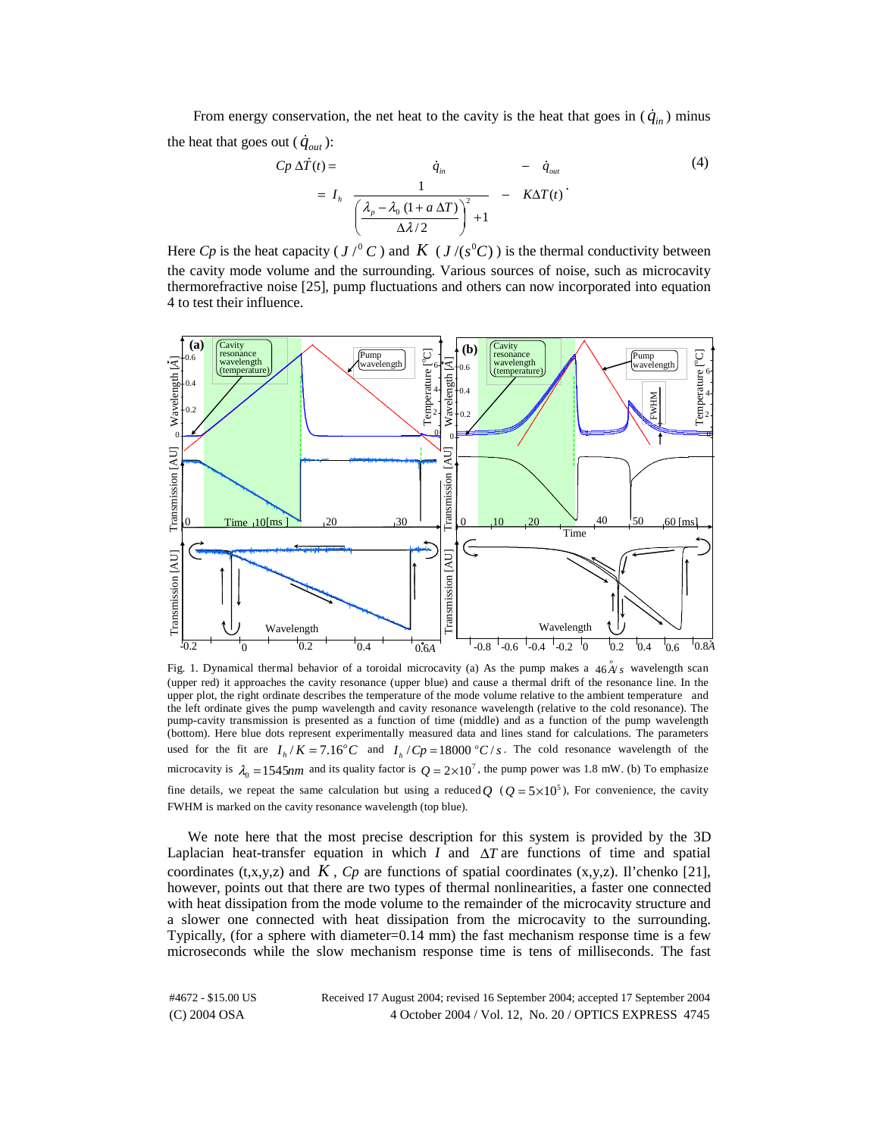From energy conservation, the net heat to the cavity is the heat that goes in 
$$
(\dot{q}_{in})
$$
 minus  
\nthe heat that goes out  $(\dot{q}_{out})$ :  
\n
$$
C_p \Delta T(t) = q_{in} - q_{out}
$$
\n(4)  
\n
$$
= I_h \frac{1}{\left(\frac{\lambda_p - \lambda_0 (1 + a \Delta T)}{\Delta \lambda / 2}\right)^2 + 1} - K \Delta T(t)
$$
\nHere  $Cp$  is the heat capacity  $(J / {}^0C)$  and  $K (J / (s^0C))$  is the thermal conductivity between

the cavity mode volume and the surrounding. Various sources of noise, such as microcavity thermorefractive noise [25], pump fluctuations and others can now incorporated into equation 4 to test their influence.



Fig. 1. Dynamical thermal behavior of a toroidal microcavity (a) As the pump makes a  $46\overset{\circ}{A}/s$  wavelength scan (upper red) it approaches the cavity resonance (upper blue) and cause a thermal drift of the resonance line. In the upper plot, the right ordinate describes the temperature of the mode volume relative to the ambient temperature and the left ordinate gives the pump wavelength and cavity resonance wavelength (relative to the cold resonance). The pump-cavity transmission is presented as a function of time (middle) and as a function of the pump wavelength (bottom). Here blue dots represent experimentally measured data and lines stand for calculations. The parameters used for the fit are  $I_h/K = 7.16^{\circ}C$  and  $I_h/Cp = 18000^{\circ}C/s$ . The cold resonance wavelength of the microcavity is  $\lambda_0 = 1545$ *nm* and its quality factor is  $Q = 2 \times 10^7$ , the pump power was 1.8 mW. (b) To emphasize fine details, we repeat the same calculation but using a reduced  $Q$  ( $Q = 5 \times 10^5$ ), For convenience, the cavity FWHM is marked on the cavity resonance wavelength (top blue).

We note here that the most precise description for this system is provided by the 3D Laplacian heat-transfer equation in which *I* and ∆*T* are functions of time and spatial coordinates  $(t, x, y, z)$  and  $K$ ,  $Cp$  are functions of spatial coordinates  $(x, y, z)$ . Il'chenko [21], however, points out that there are two types of thermal nonlinearities, a faster one connected with heat dissipation from the mode volume to the remainder of the microcavity structure and a slower one connected with heat dissipation from the microcavity to the surrounding. Typically, (for a sphere with diameter=0.14 mm) the fast mechanism response time is a few microseconds while the slow mechanism response time is tens of milliseconds. The fast

(C) 2004 OSA 4 October 2004 / Vol. 12, No. 20 / OPTICS EXPRESS 4745 #4672 - \$15.00 US Received 17 August 2004; revised 16 September 2004; accepted 17 September 2004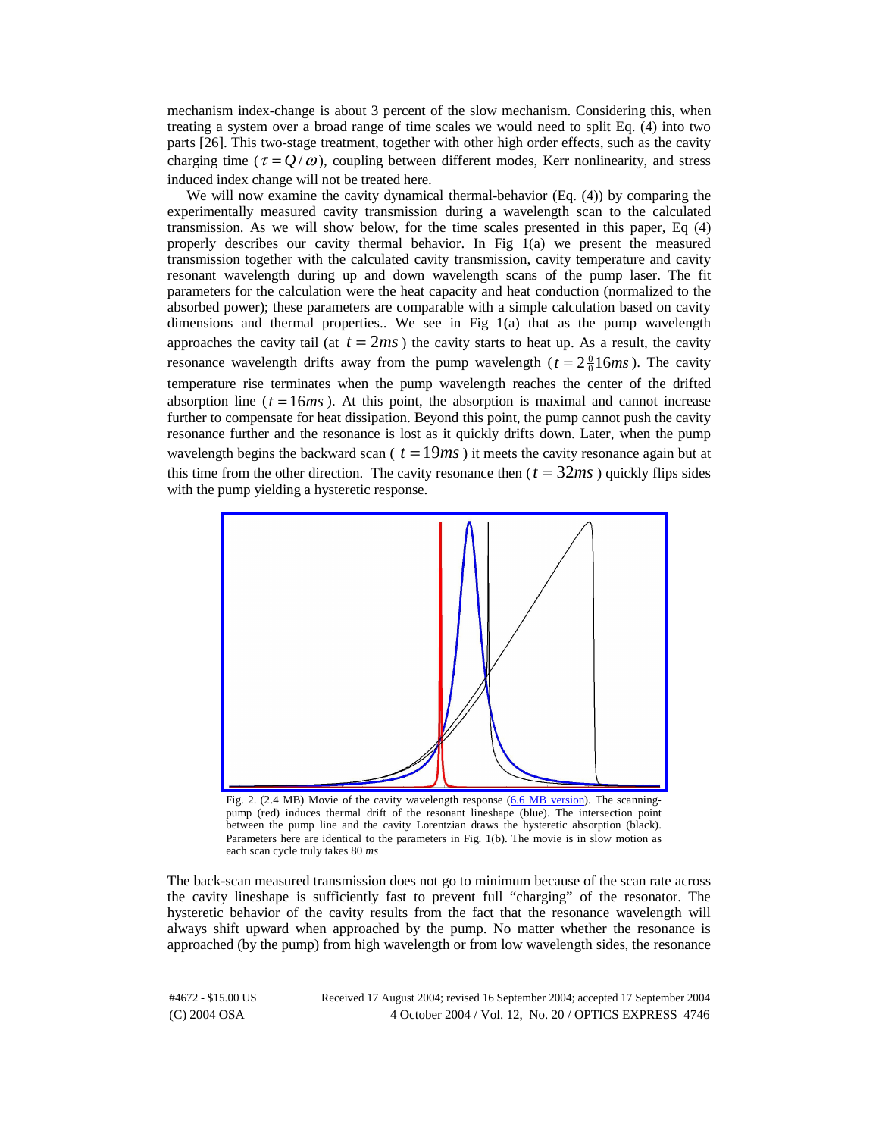mechanism index-change is about 3 percent of the slow mechanism. Considering this, when treating a system over a broad range of time scales we would need to split Eq. (4) into two parts [26]. This two-stage treatment, together with other high order effects, such as the cavity charging time ( $\tau = O/\omega$ ), coupling between different modes, Kerr nonlinearity, and stress induced index change will not be treated here.

We will now examine the cavity dynamical thermal-behavior (Eq. (4)) by comparing the experimentally measured cavity transmission during a wavelength scan to the calculated transmission. As we will show below, for the time scales presented in this paper, Eq (4) properly describes our cavity thermal behavior. In Fig 1(a) we present the measured transmission together with the calculated cavity transmission, cavity temperature and cavity resonant wavelength during up and down wavelength scans of the pump laser. The fit parameters for the calculation were the heat capacity and heat conduction (normalized to the absorbed power); these parameters are comparable with a simple calculation based on cavity dimensions and thermal properties.. We see in Fig 1(a) that as the pump wavelength approaches the cavity tail (at  $t = 2ms$ ) the cavity starts to heat up. As a result, the cavity resonance wavelength drifts away from the pump wavelength ( $t = 2\frac{0}{0}16ms$ ). The cavity temperature rise terminates when the pump wavelength reaches the center of the drifted absorption line  $(t = 16ms)$ . At this point, the absorption is maximal and cannot increase further to compensate for heat dissipation. Beyond this point, the pump cannot push the cavity resonance further and the resonance is lost as it quickly drifts down. Later, when the pump wavelength begins the backward scan ( $t = 19ms$ ) it meets the cavity resonance again but at this time from the other direction. The cavity resonance then  $(t = 32ms)$  quickly flips sides with the pump yielding a hysteretic response.



Fig. 2. (2.4 MB) Movie of the cavity wavelength response [\(6.6 MB version\).](http://www.opticsexpress.org/view_media.cfm?umid=10108) The scanningpump (red) induces thermal drift of the resonant lineshape (blue). The intersection point between the pump line and the cavity Lorentzian draws the hysteretic absorption (black). Parameters here are identical to the parameters in Fig. 1(b). The movie is in slow motion as each scan cycle truly takes 80 *ms*

The back-scan measured transmission does not go to minimum because of the scan rate across the cavity lineshape is sufficiently fast to prevent full "charging" of the resonator. The hysteretic behavior of the cavity results from the fact that the resonance wavelength will always shift upward when approached by the pump. No matter whether the resonance is approached (by the pump) from high wavelength or from low wavelength sides, the resonance

(C) 2004 OSA 4 October 2004 / Vol. 12, No. 20 / OPTICS EXPRESS 4746 #4672 - \$15.00 US Received 17 August 2004; revised 16 September 2004; accepted 17 September 2004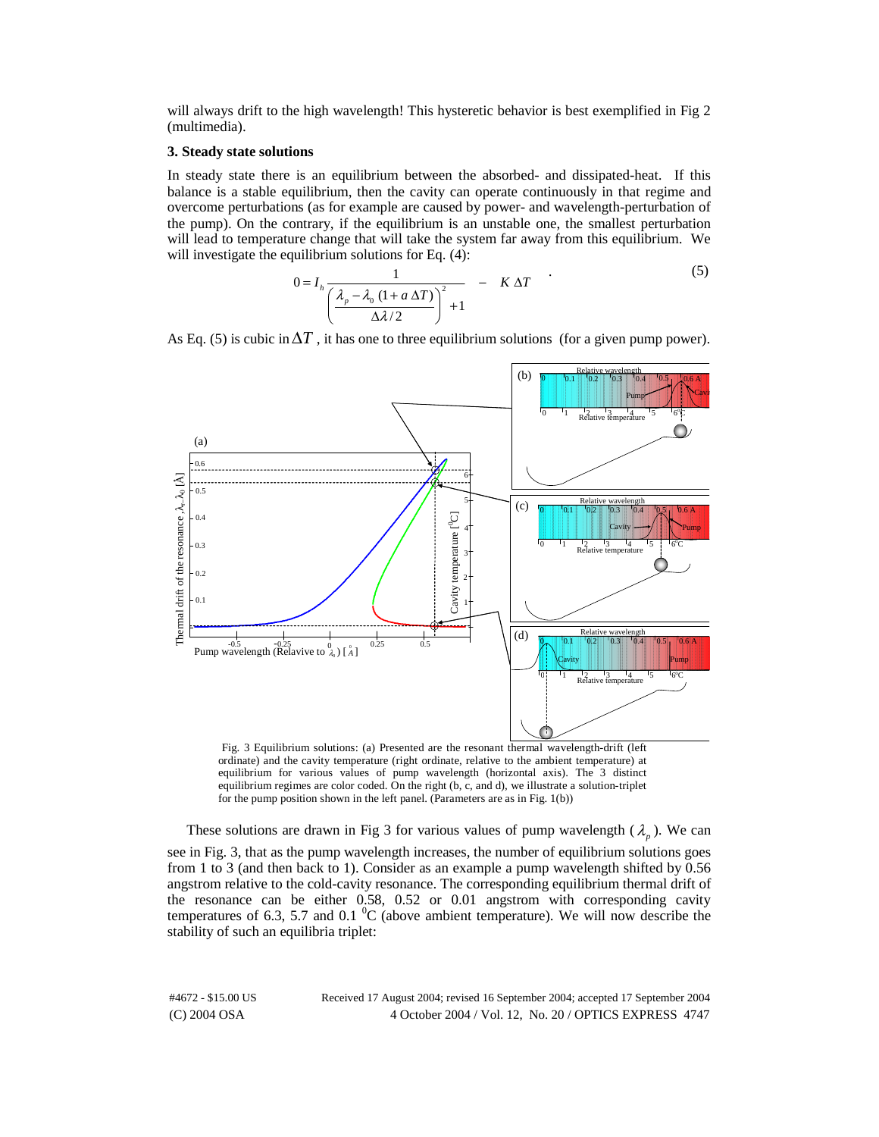will always drift to the high wavelength! This hysteretic behavior is best exemplified in Fig 2 (multimedia).

#### **3. Steady state solutions**

In steady state there is an equilibrium between the absorbed- and dissipated-heat. If this balance is a stable equilibrium, then the cavity can operate continuously in that regime and overcome perturbations (as for example are caused by power- and wavelength-perturbation of the pump). On the contrary, if the equilibrium is an unstable one, the smallest perturbation will lead to temperature change that will take the system far away from this equilibrium. We will investigate the equilibrium solutions for Eq. (4):

$$
0 = I_h \frac{1}{\left(\frac{\lambda_p - \lambda_0 (1 + a \Delta T)}{\Delta \lambda / 2}\right)^2 + 1} - K \Delta T
$$
 (5)

As Eq. (5) is cubic in  $\Delta T$ , it has one to three equilibrium solutions (for a given pump power).



Fig. 3 Equilibrium solutions: (a) Presented are the resonant thermal wavelength-drift (left ordinate) and the cavity temperature (right ordinate, relative to the ambient temperature) at equilibrium for various values of pump wavelength (horizontal axis). The 3 distinct equilibrium regimes are color coded. On the right (b, c, and d), we illustrate a solution-triplet for the pump position shown in the left panel. (Parameters are as in Fig. 1(b))

These solutions are drawn in Fig 3 for various values of pump wavelength ( $\lambda_p$ ). We can see in Fig. 3, that as the pump wavelength increases, the number of equilibrium solutions goes from 1 to 3 (and then back to 1). Consider as an example a pump wavelength shifted by 0.56 angstrom relative to the cold-cavity resonance. The corresponding equilibrium thermal drift of the resonance can be either 0.58, 0.52 or 0.01 angstrom with corresponding cavity temperatures of 6.3, 5.7 and 0.1  $\rm{^0C}$  (above ambient temperature). We will now describe the stability of such an equilibria triplet:

(C) 2004 OSA 4 October 2004 / Vol. 12, No. 20 / OPTICS EXPRESS 4747 #4672 - \$15.00 US Received 17 August 2004; revised 16 September 2004; accepted 17 September 2004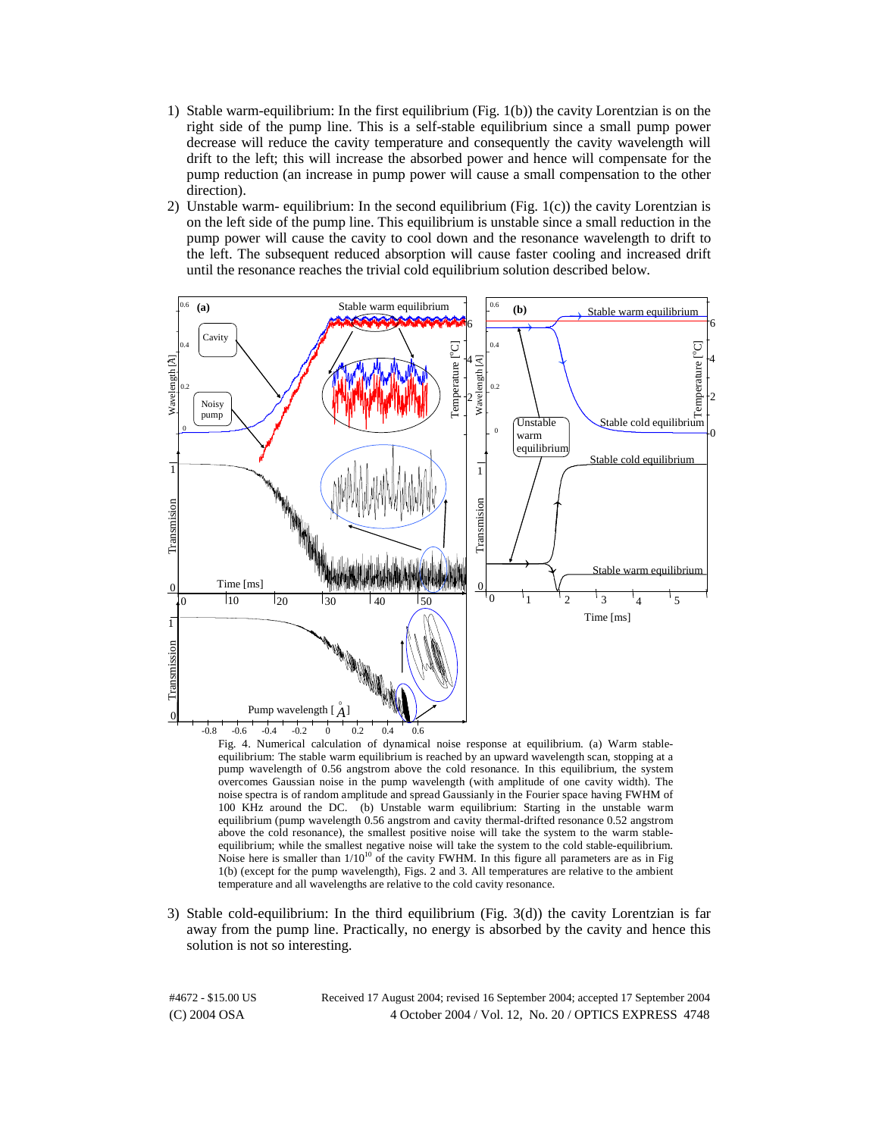- 1) Stable warm-equilibrium: In the first equilibrium (Fig. 1(b)) the cavity Lorentzian is on the right side of the pump line. This is a self-stable equilibrium since a small pump power decrease will reduce the cavity temperature and consequently the cavity wavelength will drift to the left; this will increase the absorbed power and hence will compensate for the pump reduction (an increase in pump power will cause a small compensation to the other direction).
- 2) Unstable warm- equilibrium: In the second equilibrium (Fig. 1(c)) the cavity Lorentzian is on the left side of the pump line. This equilibrium is unstable since a small reduction in the pump power will cause the cavity to cool down and the resonance wavelength to drift to the left. The subsequent reduced absorption will cause faster cooling and increased drift until the resonance reaches the trivial cold equilibrium solution described below.



Fig. 4. Numerical calculation of dynamical noise response at equilibrium. (a) Warm stableequilibrium: The stable warm equilibrium is reached by an upward wavelength scan, stopping at a pump wavelength of 0.56 angstrom above the cold resonance. In this equilibrium, the system overcomes Gaussian noise in the pump wavelength (with amplitude of one cavity width). The noise spectra is of random amplitude and spread Gaussianly in the Fourier space having FWHM of 100 KHz around the DC. (b) Unstable warm equilibrium: Starting in the unstable warm equilibrium (pump wavelength 0.56 angstrom and cavity thermal-drifted resonance 0.52 angstrom above the cold resonance), the smallest positive noise will take the system to the warm stableequilibrium; while the smallest negative noise will take the system to the cold stable-equilibrium. Noise here is smaller than  $1/10^{10}$  of the cavity FWHM. In this figure all parameters are as in Fig 1(b) (except for the pump wavelength), Figs. 2 and 3. All temperatures are relative to the ambient temperature and all wavelengths are relative to the cold cavity resonance.

3) Stable cold-equilibrium: In the third equilibrium (Fig. 3(d)) the cavity Lorentzian is far away from the pump line. Practically, no energy is absorbed by the cavity and hence this solution is not so interesting.

(C) 2004 OSA 4 October 2004 / Vol. 12, No. 20 / OPTICS EXPRESS 4748 #4672 - \$15.00 US Received 17 August 2004; revised 16 September 2004; accepted 17 September 2004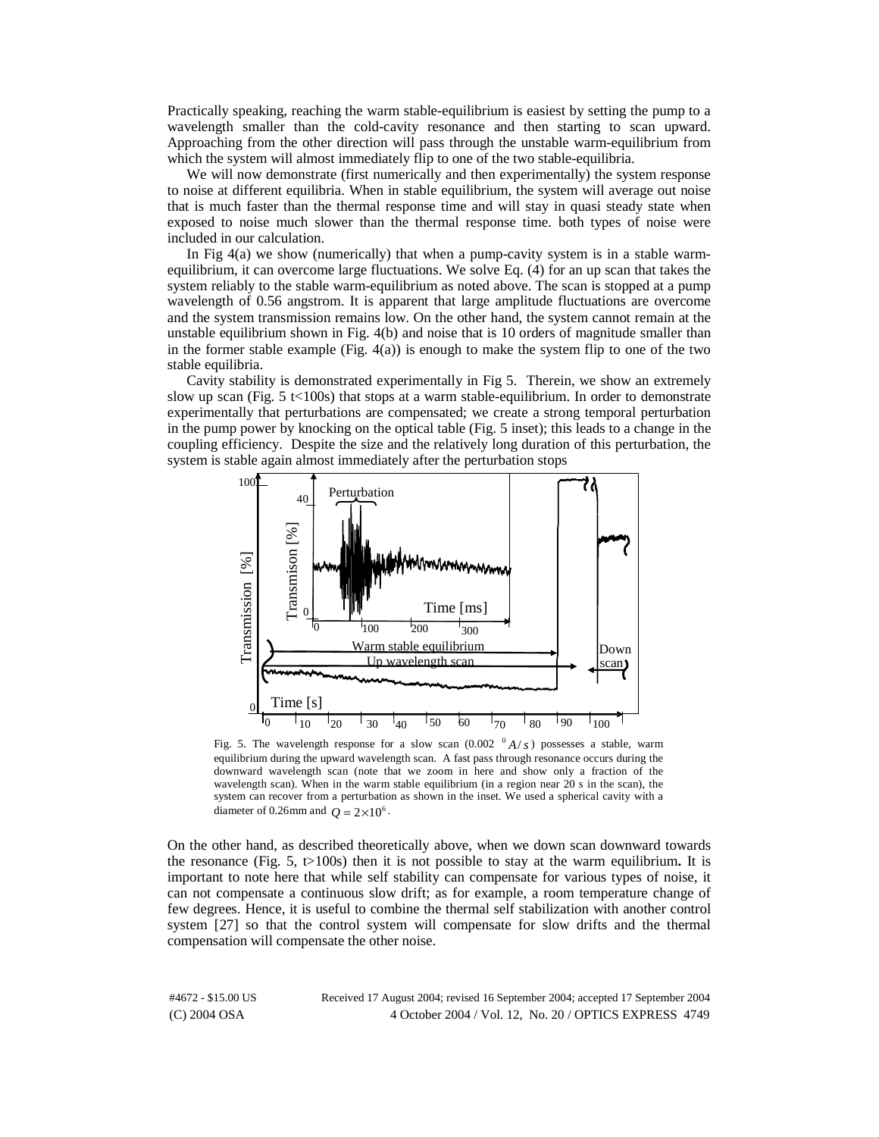Practically speaking, reaching the warm stable-equilibrium is easiest by setting the pump to a wavelength smaller than the cold-cavity resonance and then starting to scan upward. Approaching from the other direction will pass through the unstable warm-equilibrium from which the system will almost immediately flip to one of the two stable-equilibria.

We will now demonstrate (first numerically and then experimentally) the system response to noise at different equilibria. When in stable equilibrium, the system will average out noise that is much faster than the thermal response time and will stay in quasi steady state when exposed to noise much slower than the thermal response time. both types of noise were included in our calculation.

In Fig 4(a) we show (numerically) that when a pump-cavity system is in a stable warmequilibrium, it can overcome large fluctuations. We solve Eq. (4) for an up scan that takes the system reliably to the stable warm-equilibrium as noted above. The scan is stopped at a pump wavelength of 0.56 angstrom. It is apparent that large amplitude fluctuations are overcome and the system transmission remains low. On the other hand, the system cannot remain at the unstable equilibrium shown in Fig. 4(b) and noise that is 10 orders of magnitude smaller than in the former stable example (Fig.  $4(a)$ ) is enough to make the system flip to one of the two stable equilibria.

Cavity stability is demonstrated experimentally in Fig 5. Therein, we show an extremely slow up scan (Fig. 5 t < 100s) that stops at a warm stable-equilibrium. In order to demonstrate experimentally that perturbations are compensated; we create a strong temporal perturbation in the pump power by knocking on the optical table (Fig. 5 inset); this leads to a change in the coupling efficiency. Despite the size and the relatively long duration of this perturbation, the system is stable again almost immediately after the perturbation stops



Fig. 5. The wavelength response for a slow scan  $(0.002 \t A/s)$  possesses a stable, warm equilibrium during the upward wavelength scan. A fast pass through resonance occurs during the downward wavelength scan (note that we zoom in here and show only a fraction of the wavelength scan). When in the warm stable equilibrium (in a region near 20 s in the scan), the system can recover from a perturbation as shown in the inset. We used a spherical cavity with a diameter of 0.26mm and  $Q = 2 \times 10^6$ .

On the other hand, as described theoretically above, when we down scan downward towards the resonance (Fig. 5,  $t > 100s$ ) then it is not possible to stay at the warm equilibrium. It is important to note here that while self stability can compensate for various types of noise, it can not compensate a continuous slow drift; as for example, a room temperature change of few degrees. Hence, it is useful to combine the thermal self stabilization with another control system [27] so that the control system will compensate for slow drifts and the thermal compensation will compensate the other noise.

(C) 2004 OSA 4 October 2004 / Vol. 12, No. 20 / OPTICS EXPRESS 4749 #4672 - \$15.00 US Received 17 August 2004; revised 16 September 2004; accepted 17 September 2004